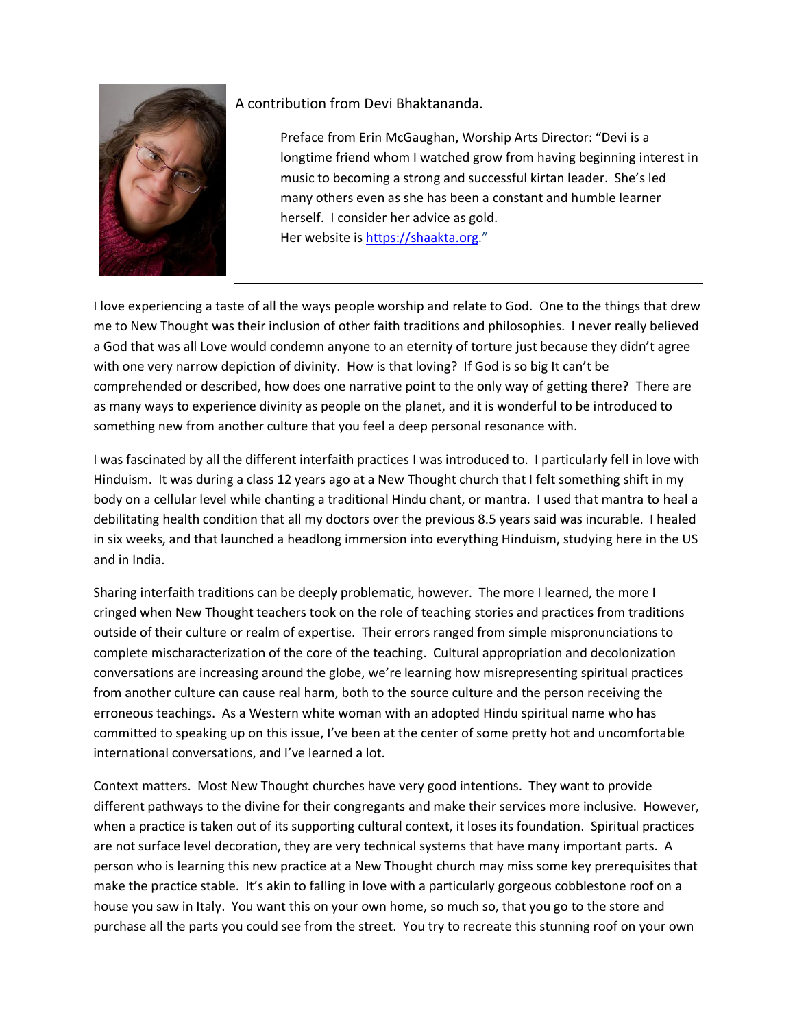

## A contribution from Devi Bhaktananda.

Preface from Erin McGaughan, Worship Arts Director: "Devi is a longtime friend whom I watched grow from having beginning interest in music to becoming a strong and successful kirtan leader. She's led many others even as she has been a constant and humble learner herself. I consider her advice as gold. Her website is [https://shaakta.org.](https://shaakta.org/)"

I love experiencing a taste of all the ways people worship and relate to God. One to the things that drew me to New Thought was their inclusion of other faith traditions and philosophies. I never really believed a God that was all Love would condemn anyone to an eternity of torture just because they didn't agree with one very narrow depiction of divinity. How is that loving? If God is so big It can't be comprehended or described, how does one narrative point to the only way of getting there? There are as many ways to experience divinity as people on the planet, and it is wonderful to be introduced to something new from another culture that you feel a deep personal resonance with.

I was fascinated by all the different interfaith practices I was introduced to. I particularly fell in love with Hinduism. It was during a class 12 years ago at a New Thought church that I felt something shift in my body on a cellular level while chanting a traditional Hindu chant, or mantra. I used that mantra to heal a debilitating health condition that all my doctors over the previous 8.5 years said was incurable. I healed in six weeks, and that launched a headlong immersion into everything Hinduism, studying here in the US and in India.

Sharing interfaith traditions can be deeply problematic, however. The more I learned, the more I cringed when New Thought teachers took on the role of teaching stories and practices from traditions outside of their culture or realm of expertise. Their errors ranged from simple mispronunciations to complete mischaracterization of the core of the teaching. Cultural appropriation and decolonization conversations are increasing around the globe, we're learning how misrepresenting spiritual practices from another culture can cause real harm, both to the source culture and the person receiving the erroneous teachings. As a Western white woman with an adopted Hindu spiritual name who has committed to speaking up on this issue, I've been at the center of some pretty hot and uncomfortable international conversations, and I've learned a lot.

Context matters. Most New Thought churches have very good intentions. They want to provide different pathways to the divine for their congregants and make their services more inclusive. However, when a practice is taken out of its supporting cultural context, it loses its foundation. Spiritual practices are not surface level decoration, they are very technical systems that have many important parts. A person who is learning this new practice at a New Thought church may miss some key prerequisites that make the practice stable. It's akin to falling in love with a particularly gorgeous cobblestone roof on a house you saw in Italy. You want this on your own home, so much so, that you go to the store and purchase all the parts you could see from the street. You try to recreate this stunning roof on your own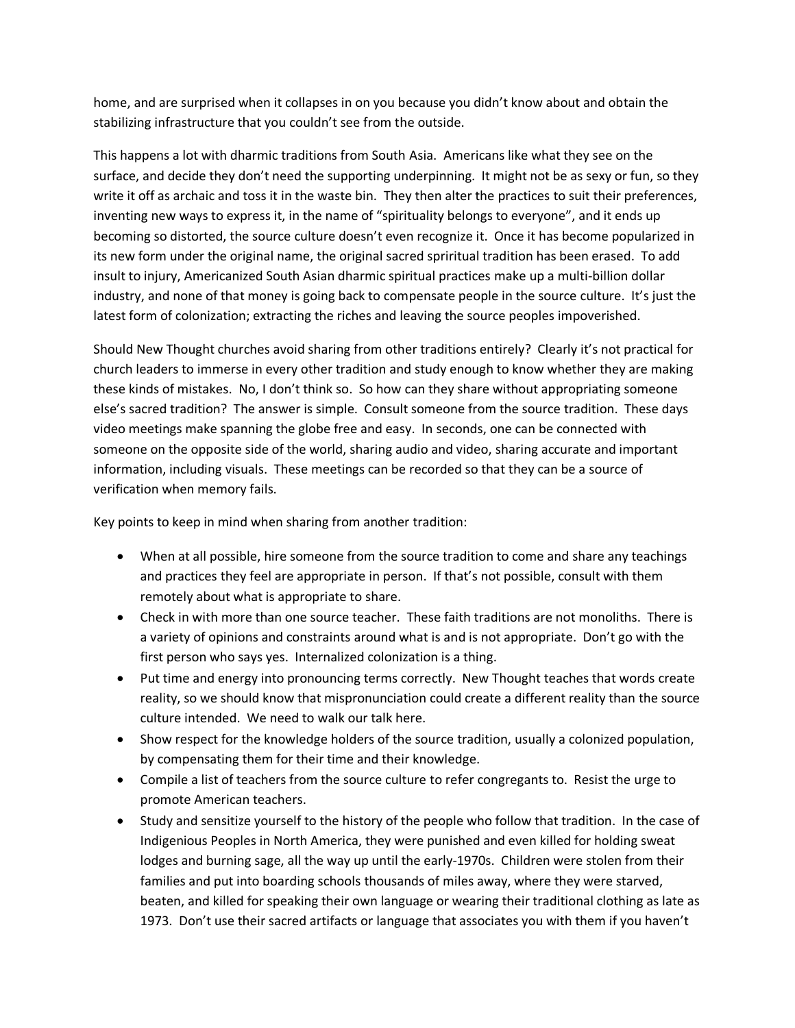home, and are surprised when it collapses in on you because you didn't know about and obtain the stabilizing infrastructure that you couldn't see from the outside.

This happens a lot with dharmic traditions from South Asia. Americans like what they see on the surface, and decide they don't need the supporting underpinning. It might not be as sexy or fun, so they write it off as archaic and toss it in the waste bin. They then alter the practices to suit their preferences, inventing new ways to express it, in the name of "spirituality belongs to everyone", and it ends up becoming so distorted, the source culture doesn't even recognize it. Once it has become popularized in its new form under the original name, the original sacred spriritual tradition has been erased. To add insult to injury, Americanized South Asian dharmic spiritual practices make up a multi-billion dollar industry, and none of that money is going back to compensate people in the source culture. It's just the latest form of colonization; extracting the riches and leaving the source peoples impoverished.

Should New Thought churches avoid sharing from other traditions entirely? Clearly it's not practical for church leaders to immerse in every other tradition and study enough to know whether they are making these kinds of mistakes. No, I don't think so. So how can they share without appropriating someone else's sacred tradition? The answer is simple. Consult someone from the source tradition. These days video meetings make spanning the globe free and easy. In seconds, one can be connected with someone on the opposite side of the world, sharing audio and video, sharing accurate and important information, including visuals. These meetings can be recorded so that they can be a source of verification when memory fails.

Key points to keep in mind when sharing from another tradition:

- When at all possible, hire someone from the source tradition to come and share any teachings and practices they feel are appropriate in person. If that's not possible, consult with them remotely about what is appropriate to share.
- Check in with more than one source teacher. These faith traditions are not monoliths. There is a variety of opinions and constraints around what is and is not appropriate. Don't go with the first person who says yes. Internalized colonization is a thing.
- Put time and energy into pronouncing terms correctly. New Thought teaches that words create reality, so we should know that mispronunciation could create a different reality than the source culture intended. We need to walk our talk here.
- Show respect for the knowledge holders of the source tradition, usually a colonized population, by compensating them for their time and their knowledge.
- Compile a list of teachers from the source culture to refer congregants to. Resist the urge to promote American teachers.
- Study and sensitize yourself to the history of the people who follow that tradition. In the case of Indigenious Peoples in North America, they were punished and even killed for holding sweat lodges and burning sage, all the way up until the early-1970s. Children were stolen from their families and put into boarding schools thousands of miles away, where they were starved, beaten, and killed for speaking their own language or wearing their traditional clothing as late as 1973. Don't use their sacred artifacts or language that associates you with them if you haven't